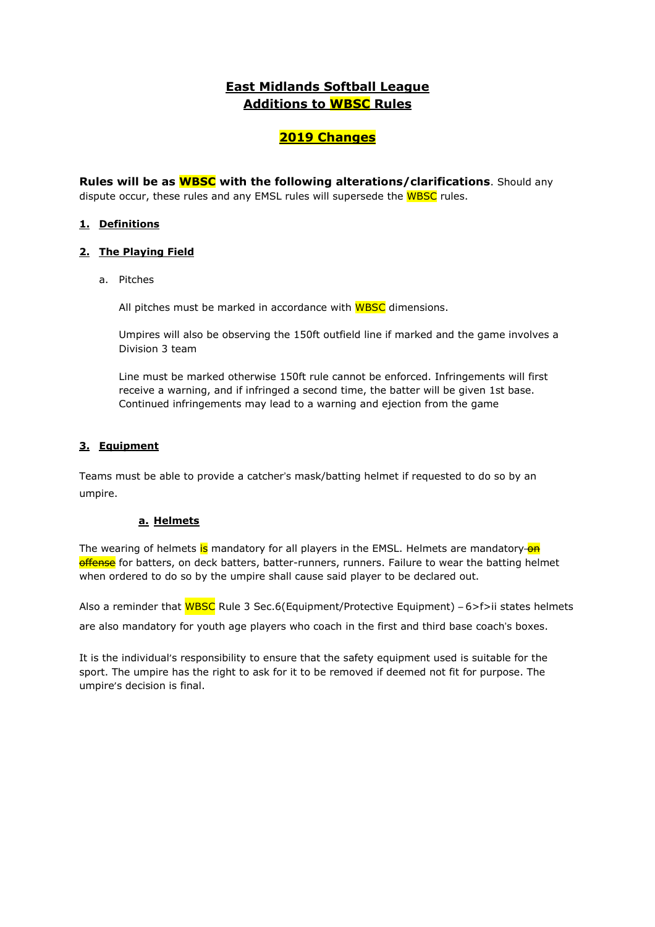# **East Midlands Softball League Additions to WBSC Rules**

# **2019 Changes**

**Rules will be as WBSC with the following alterations/clarifications**. Should any dispute occur, these rules and any EMSL rules will supersede the WBSC rules.

# **1. Definitions**

# **2. The Playing Field**

a. Pitches

All pitches must be marked in accordance with WBSC dimensions.

Umpires will also be observing the 150ft outfield line if marked and the game involves a Division 3 team

Line must be marked otherwise 150ft rule cannot be enforced. Infringements will first receive a warning, and if infringed a second time, the batter will be given 1st base. Continued infringements may lead to a warning and ejection from the game

### **3. Equipment**

Teams must be able to provide a catcher's mask/batting helmet if requested to do so by an umpire.

#### **a. Helmets**

The wearing of helmets is mandatory for all players in the EMSL. Helmets are mandatory-on offense for batters, on deck batters, batter-runners, runners. Failure to wear the batting helmet when ordered to do so by the umpire shall cause said player to be declared out.

Also a reminder that WBSC Rule 3 Sec.6(Equipment/Protective Equipment) – 6>f>ii states helmets are also mandatory for youth age players who coach in the first and third base coach's boxes.

It is the individual's responsibility to ensure that the safety equipment used is suitable for the sport. The umpire has the right to ask for it to be removed if deemed not fit for purpose. The umpire's decision is final.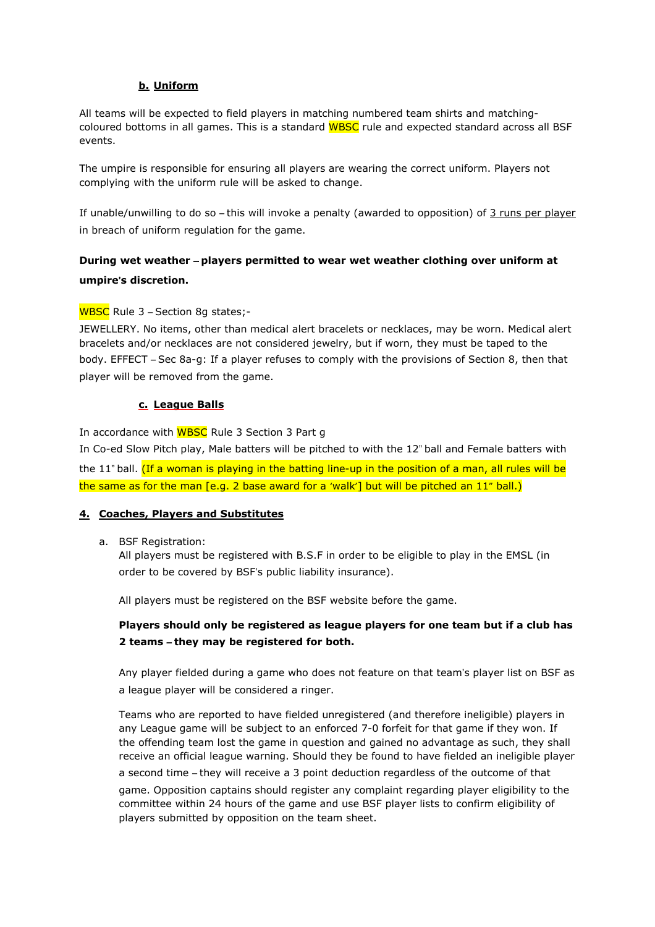# **b. Uniform**

All teams will be expected to field players in matching numbered team shirts and matchingcoloured bottoms in all games. This is a standard WBSC rule and expected standard across all BSF events.

The umpire is responsible for ensuring all players are wearing the correct uniform. Players not complying with the uniform rule will be asked to change.

If unable/unwilling to do so – this will invoke a penalty (awarded to opposition) of 3 runs per player in breach of uniform regulation for the game.

# **During wet weather** – **players permitted to wear wet weather clothing over uniform at umpire**'**s discretion.**

#### WBSC Rule 3 - Section 8g states;-

JEWELLERY. No items, other than medical alert bracelets or necklaces, may be worn. Medical alert bracelets and/or necklaces are not considered jewelry, but if worn, they must be taped to the body. EFFECT – Sec 8a-g: If a player refuses to comply with the provisions of Section 8, then that player will be removed from the game.

## **c. League Balls**

In accordance with **WBSC** Rule 3 Section 3 Part g

In Co-ed Slow Pitch play, Male batters will be pitched to with the 12" ball and Female batters with the 11" ball. (If a woman is playing in the batting line-up in the position of a man, all rules will be the same as for the man [e.g. 2 base award for a 'walk'] but will be pitched an 11" ball.)

### **4. Coaches, Players and Substitutes**

a. BSF Registration:

All players must be registered with B.S.F in order to be eligible to play in the EMSL (in order to be covered by BSF's public liability insurance).

All players must be registered on the BSF website before the game.

# **Players should only be registered as league players for one team but if a club has 2 teams** – **they may be registered for both.**

Any player fielded during a game who does not feature on that team's player list on BSF as a league player will be considered a ringer.

Teams who are reported to have fielded unregistered (and therefore ineligible) players in any League game will be subject to an enforced 7-0 forfeit for that game if they won. If the offending team lost the game in question and gained no advantage as such, they shall receive an official league warning. Should they be found to have fielded an ineligible player a second time – they will receive a 3 point deduction regardless of the outcome of that game. Opposition captains should register any complaint regarding player eligibility to the committee within 24 hours of the game and use BSF player lists to confirm eligibility of players submitted by opposition on the team sheet.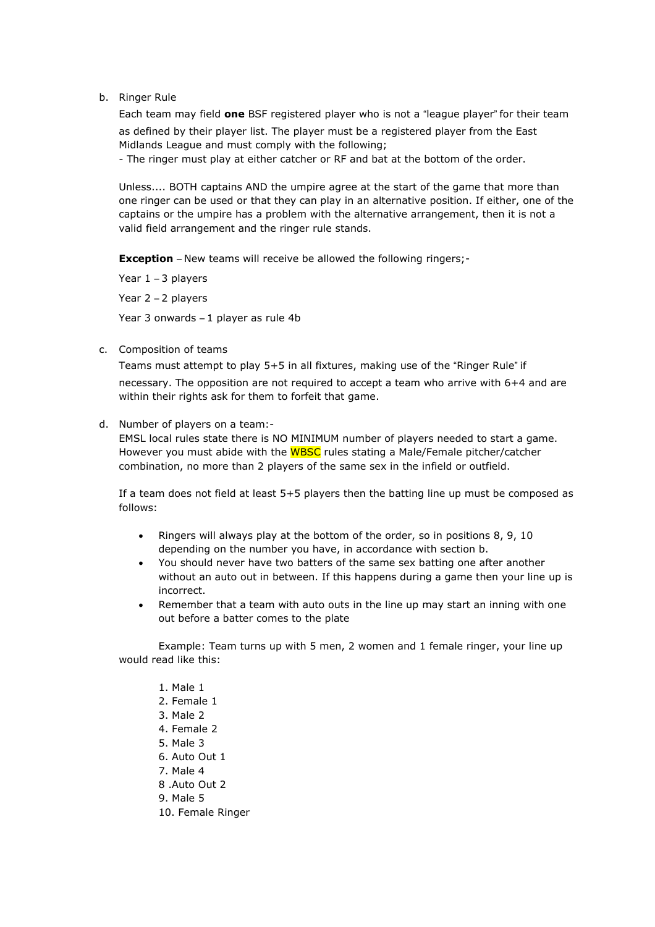b. Ringer Rule

Each team may field **one** BSF registered player who is not a "league player" for their team as defined by their player list. The player must be a registered player from the East Midlands League and must comply with the following;

- The ringer must play at either catcher or RF and bat at the bottom of the order.

Unless.... BOTH captains AND the umpire agree at the start of the game that more than one ringer can be used or that they can play in an alternative position. If either, one of the captains or the umpire has a problem with the alternative arrangement, then it is not a valid field arrangement and the ringer rule stands.

**Exception** – New teams will receive be allowed the following ringers;-

Year  $1 - 3$  players Year 2 – 2 players Year 3 onwards – 1 player as rule 4b

c. Composition of teams

Teams must attempt to play 5+5 in all fixtures, making use of the "Ringer Rule" if necessary. The opposition are not required to accept a team who arrive with 6+4 and are within their rights ask for them to forfeit that game.

d. Number of players on a team:-

EMSL local rules state there is NO MINIMUM number of players needed to start a game. However you must abide with the **WBSC** rules stating a Male/Female pitcher/catcher combination, no more than 2 players of the same sex in the infield or outfield.

If a team does not field at least 5+5 players then the batting line up must be composed as follows:

- Ringers will always play at the bottom of the order, so in positions 8, 9, 10 depending on the number you have, in accordance with section b.
- You should never have two batters of the same sex batting one after another without an auto out in between. If this happens during a game then your line up is incorrect.
- Remember that a team with auto outs in the line up may start an inning with one out before a batter comes to the plate

Example: Team turns up with 5 men, 2 women and 1 female ringer, your line up would read like this:

1. Male 1 2. Female 1 3. Male 2 4. Female 2 5. Male 3 6. Auto Out 1 7. Male 4 8 .Auto Out 2 9. Male 5 10. Female Ringer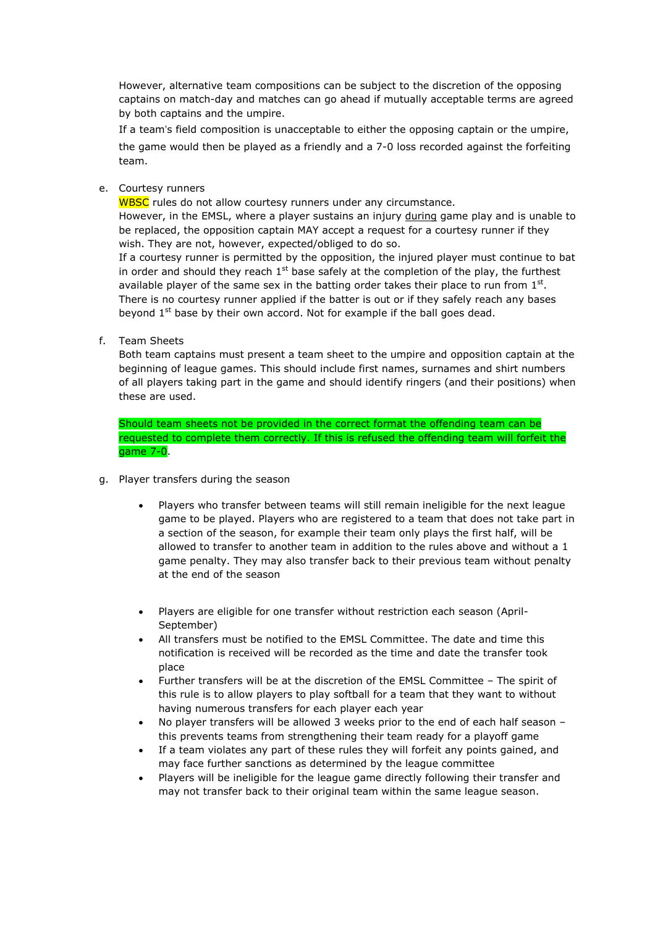However, alternative team compositions can be subject to the discretion of the opposing captains on match-day and matches can go ahead if mutually acceptable terms are agreed by both captains and the umpire.

If a team's field composition is unacceptable to either the opposing captain or the umpire, the game would then be played as a friendly and a 7-0 loss recorded against the forfeiting team.

e. Courtesy runners

WBSC rules do not allow courtesy runners under any circumstance.

However, in the EMSL, where a player sustains an injury during game play and is unable to be replaced, the opposition captain MAY accept a request for a courtesy runner if they wish. They are not, however, expected/obliged to do so.

If a courtesy runner is permitted by the opposition, the injured player must continue to bat in order and should they reach  $1<sup>st</sup>$  base safely at the completion of the play, the furthest available player of the same sex in the batting order takes their place to run from  $1<sup>st</sup>$ . There is no courtesy runner applied if the batter is out or if they safely reach any bases beyond  $1<sup>st</sup>$  base by their own accord. Not for example if the ball goes dead.

f. Team Sheets

Both team captains must present a team sheet to the umpire and opposition captain at the beginning of league games. This should include first names, surnames and shirt numbers of all players taking part in the game and should identify ringers (and their positions) when these are used.

Should team sheets not be provided in the correct format the offending team can be requested to complete them correctly. If this is refused the offending team will forfeit the game 7-0.

- g. Player transfers during the season
	- Players who transfer between teams will still remain ineligible for the next league game to be played. Players who are registered to a team that does not take part in a section of the season, for example their team only plays the first half, will be allowed to transfer to another team in addition to the rules above and without a 1 game penalty. They may also transfer back to their previous team without penalty at the end of the season
	- Players are eligible for one transfer without restriction each season (April-September)
	- All transfers must be notified to the EMSL Committee. The date and time this notification is received will be recorded as the time and date the transfer took place
	- Further transfers will be at the discretion of the EMSL Committee The spirit of this rule is to allow players to play softball for a team that they want to without having numerous transfers for each player each year
	- No player transfers will be allowed 3 weeks prior to the end of each half season this prevents teams from strengthening their team ready for a playoff game
	- If a team violates any part of these rules they will forfeit any points gained, and may face further sanctions as determined by the league committee
	- Players will be ineligible for the league game directly following their transfer and may not transfer back to their original team within the same league season.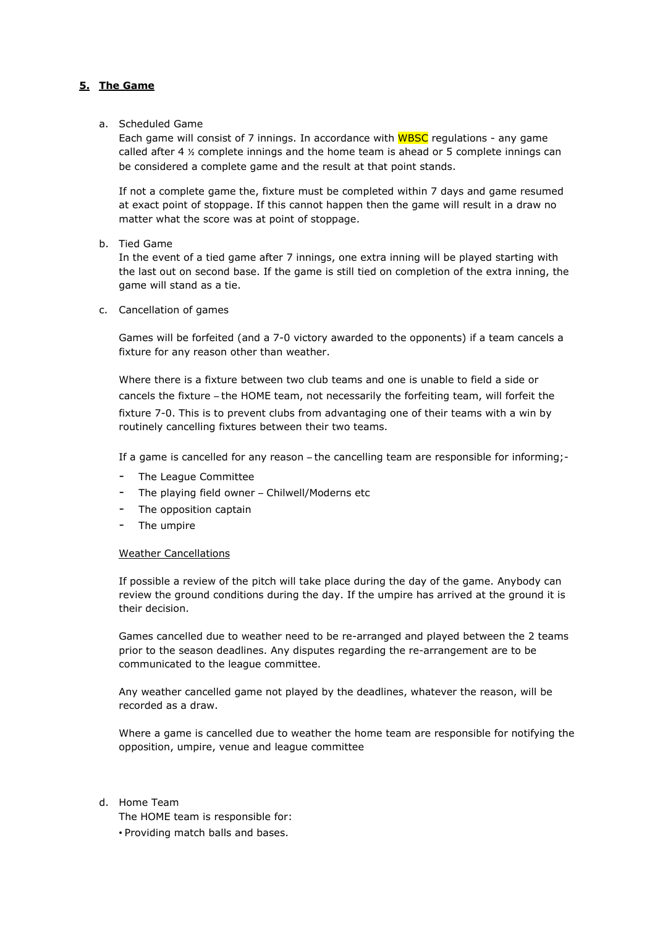# **5. The Game**

#### a. Scheduled Game

Each game will consist of 7 innings. In accordance with WBSC regulations - any game called after 4 ½ complete innings and the home team is ahead or 5 complete innings can be considered a complete game and the result at that point stands.

If not a complete game the, fixture must be completed within 7 days and game resumed at exact point of stoppage. If this cannot happen then the game will result in a draw no matter what the score was at point of stoppage.

b. Tied Game

In the event of a tied game after 7 innings, one extra inning will be played starting with the last out on second base. If the game is still tied on completion of the extra inning, the game will stand as a tie.

c. Cancellation of games

Games will be forfeited (and a 7-0 victory awarded to the opponents) if a team cancels a fixture for any reason other than weather.

Where there is a fixture between two club teams and one is unable to field a side or cancels the fixture – the HOME team, not necessarily the forfeiting team, will forfeit the fixture 7-0. This is to prevent clubs from advantaging one of their teams with a win by routinely cancelling fixtures between their two teams.

If a game is cancelled for any reason – the cancelling team are responsible for informing;-

- The League Committee
- The playing field owner Chilwell/Moderns etc
- The opposition captain
- The umpire

#### Weather Cancellations

If possible a review of the pitch will take place during the day of the game. Anybody can review the ground conditions during the day. If the umpire has arrived at the ground it is their decision.

Games cancelled due to weather need to be re-arranged and played between the 2 teams prior to the season deadlines. Any disputes regarding the re-arrangement are to be communicated to the league committee.

Any weather cancelled game not played by the deadlines, whatever the reason, will be recorded as a draw.

Where a game is cancelled due to weather the home team are responsible for notifying the opposition, umpire, venue and league committee

#### d. Home Team

The HOME team is responsible for:

• Providing match balls and bases.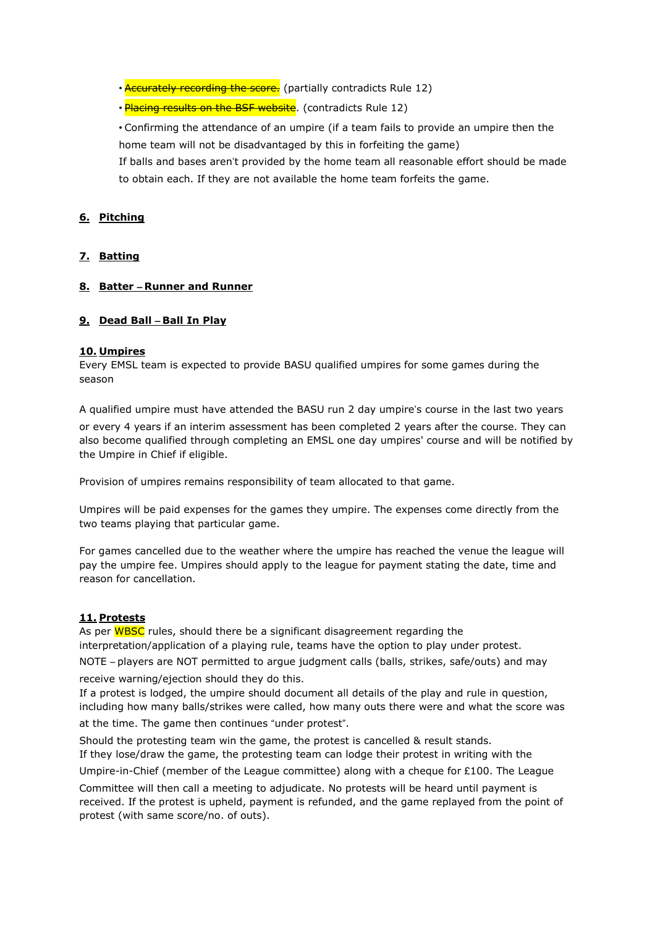• **Accurately recording the score.** (partially contradicts Rule 12)

• **Placing results on the BSF website**. (contradicts Rule 12)

• Confirming the attendance of an umpire (if a team fails to provide an umpire then the home team will not be disadvantaged by this in forfeiting the game)

If balls and bases aren't provided by the home team all reasonable effort should be made to obtain each. If they are not available the home team forfeits the game.

# **6. Pitching**

# **7. Batting**

# **8. Batter** – **Runner and Runner**

# **9. Dead Ball** – **Ball In Play**

### **10. Umpires**

Every EMSL team is expected to provide BASU qualified umpires for some games during the season

A qualified umpire must have attended the BASU run 2 day umpire's course in the last two years or every 4 years if an interim assessment has been completed 2 years after the course. They can also become qualified through completing an EMSL one day umpires' course and will be notified by the Umpire in Chief if eligible.

Provision of umpires remains responsibility of team allocated to that game.

Umpires will be paid expenses for the games they umpire. The expenses come directly from the two teams playing that particular game.

For games cancelled due to the weather where the umpire has reached the venue the league will pay the umpire fee. Umpires should apply to the league for payment stating the date, time and reason for cancellation.

# **11. Protests**

As per WBSC rules, should there be a significant disagreement regarding the interpretation/application of a playing rule, teams have the option to play under protest. NOTE – players are NOT permitted to argue judgment calls (balls, strikes, safe/outs) and may receive warning/ejection should they do this.

If a protest is lodged, the umpire should document all details of the play and rule in question, including how many balls/strikes were called, how many outs there were and what the score was at the time. The game then continues "under protest".

Should the protesting team win the game, the protest is cancelled & result stands. If they lose/draw the game, the protesting team can lodge their protest in writing with the Umpire-in-Chief (member of the League committee) along with a cheque for £100. The League Committee will then call a meeting to adjudicate. No protests will be heard until payment is received. If the protest is upheld, payment is refunded, and the game replayed from the point of protest (with same score/no. of outs).